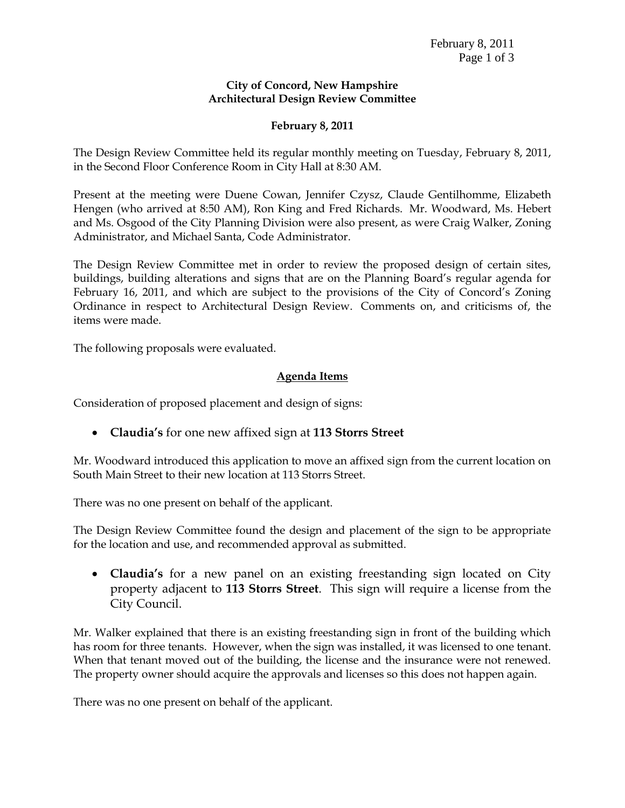## **City of Concord, New Hampshire Architectural Design Review Committee**

## **February 8, 2011**

The Design Review Committee held its regular monthly meeting on Tuesday, February 8, 2011, in the Second Floor Conference Room in City Hall at 8:30 AM.

Present at the meeting were Duene Cowan, Jennifer Czysz, Claude Gentilhomme, Elizabeth Hengen (who arrived at 8:50 AM), Ron King and Fred Richards. Mr. Woodward, Ms. Hebert and Ms. Osgood of the City Planning Division were also present, as were Craig Walker, Zoning Administrator, and Michael Santa, Code Administrator.

The Design Review Committee met in order to review the proposed design of certain sites, buildings, building alterations and signs that are on the Planning Board's regular agenda for February 16, 2011, and which are subject to the provisions of the City of Concord's Zoning Ordinance in respect to Architectural Design Review. Comments on, and criticisms of, the items were made.

The following proposals were evaluated.

## **Agenda Items**

Consideration of proposed placement and design of signs:

**Claudia's** for one new affixed sign at **113 Storrs Street**

Mr. Woodward introduced this application to move an affixed sign from the current location on South Main Street to their new location at 113 Storrs Street.

There was no one present on behalf of the applicant.

The Design Review Committee found the design and placement of the sign to be appropriate for the location and use, and recommended approval as submitted.

 **Claudia's** for a new panel on an existing freestanding sign located on City property adjacent to **113 Storrs Street**. This sign will require a license from the City Council.

Mr. Walker explained that there is an existing freestanding sign in front of the building which has room for three tenants. However, when the sign was installed, it was licensed to one tenant. When that tenant moved out of the building, the license and the insurance were not renewed. The property owner should acquire the approvals and licenses so this does not happen again.

There was no one present on behalf of the applicant.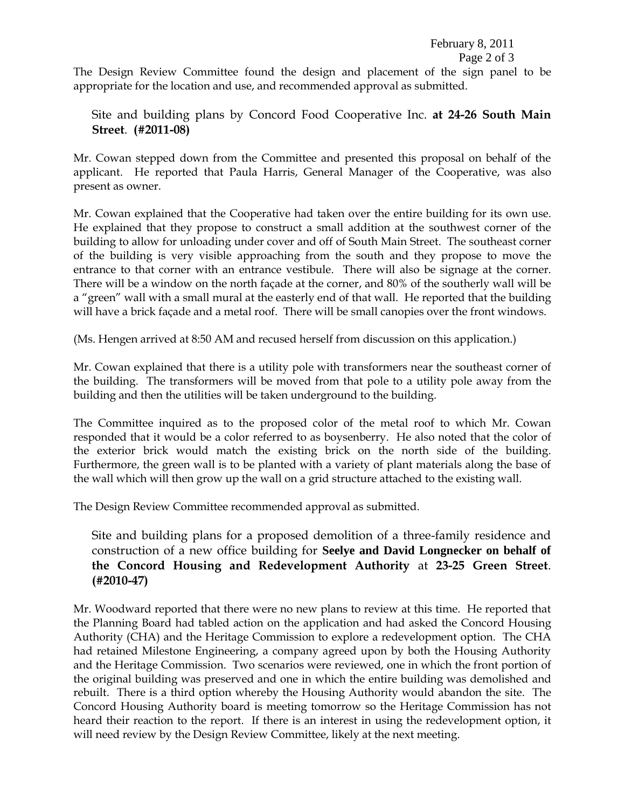February 8, 2011 Page 2 of 3

The Design Review Committee found the design and placement of the sign panel to be appropriate for the location and use, and recommended approval as submitted.

Site and building plans by Concord Food Cooperative Inc. **at 24-26 South Main Street**. **(#2011-08)**

Mr. Cowan stepped down from the Committee and presented this proposal on behalf of the applicant. He reported that Paula Harris, General Manager of the Cooperative, was also present as owner.

Mr. Cowan explained that the Cooperative had taken over the entire building for its own use. He explained that they propose to construct a small addition at the southwest corner of the building to allow for unloading under cover and off of South Main Street. The southeast corner of the building is very visible approaching from the south and they propose to move the entrance to that corner with an entrance vestibule. There will also be signage at the corner. There will be a window on the north façade at the corner, and 80% of the southerly wall will be a "green" wall with a small mural at the easterly end of that wall. He reported that the building will have a brick façade and a metal roof. There will be small canopies over the front windows.

(Ms. Hengen arrived at 8:50 AM and recused herself from discussion on this application.)

Mr. Cowan explained that there is a utility pole with transformers near the southeast corner of the building. The transformers will be moved from that pole to a utility pole away from the building and then the utilities will be taken underground to the building.

The Committee inquired as to the proposed color of the metal roof to which Mr. Cowan responded that it would be a color referred to as boysenberry. He also noted that the color of the exterior brick would match the existing brick on the north side of the building. Furthermore, the green wall is to be planted with a variety of plant materials along the base of the wall which will then grow up the wall on a grid structure attached to the existing wall.

The Design Review Committee recommended approval as submitted.

Site and building plans for a proposed demolition of a three-family residence and construction of a new office building for **Seelye and David Longnecker on behalf of the Concord Housing and Redevelopment Authority** at **23-25 Green Street**. **(#2010-47)**

Mr. Woodward reported that there were no new plans to review at this time. He reported that the Planning Board had tabled action on the application and had asked the Concord Housing Authority (CHA) and the Heritage Commission to explore a redevelopment option. The CHA had retained Milestone Engineering, a company agreed upon by both the Housing Authority and the Heritage Commission. Two scenarios were reviewed, one in which the front portion of the original building was preserved and one in which the entire building was demolished and rebuilt. There is a third option whereby the Housing Authority would abandon the site. The Concord Housing Authority board is meeting tomorrow so the Heritage Commission has not heard their reaction to the report. If there is an interest in using the redevelopment option, it will need review by the Design Review Committee, likely at the next meeting.